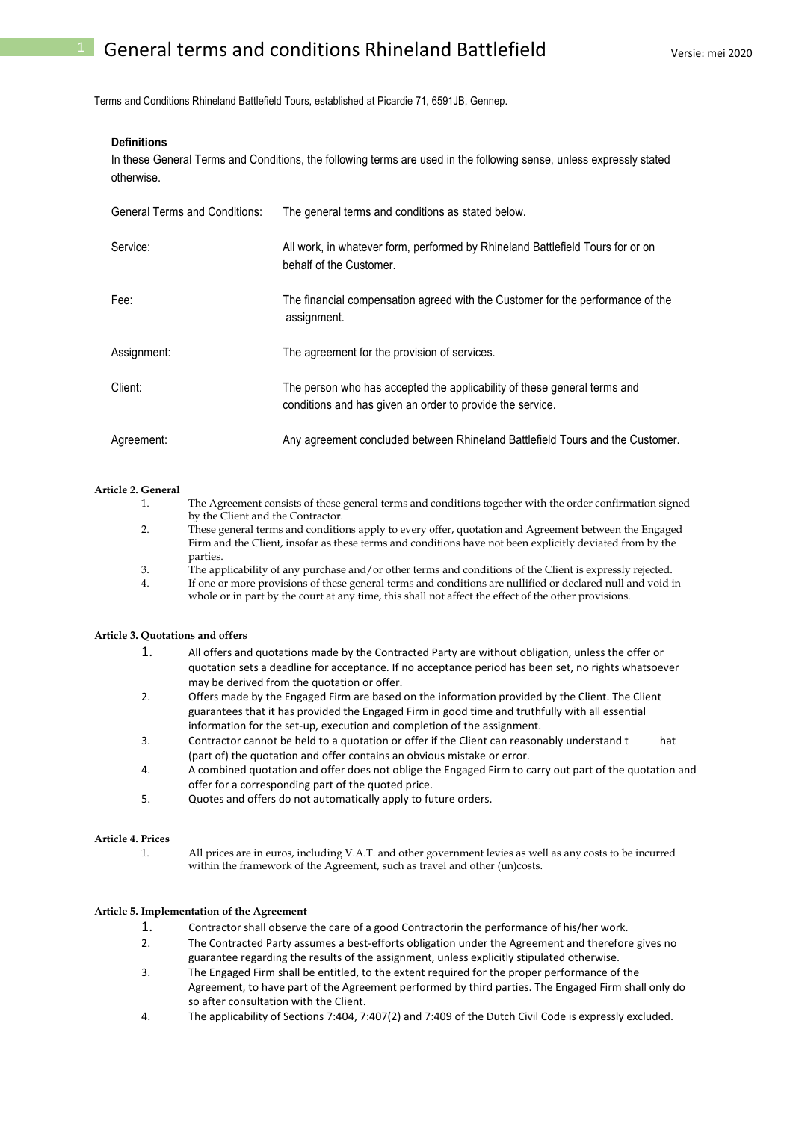Terms and Conditions Rhineland Battlefield Tours, established at Picardie 71, 6591JB, Gennep.

## **Definitions**

In these General Terms and Conditions, the following terms are used in the following sense, unless expressly stated otherwise.

| <b>General Terms and Conditions:</b> | The general terms and conditions as stated below.                                                                                     |
|--------------------------------------|---------------------------------------------------------------------------------------------------------------------------------------|
| Service:                             | All work, in whatever form, performed by Rhineland Battlefield Tours for or on<br>behalf of the Customer.                             |
| Fee:                                 | The financial compensation agreed with the Customer for the performance of the<br>assignment.                                         |
| Assignment:                          | The agreement for the provision of services.                                                                                          |
| Client:                              | The person who has accepted the applicability of these general terms and<br>conditions and has given an order to provide the service. |
| Agreement:                           | Any agreement concluded between Rhineland Battlefield Tours and the Customer.                                                         |

## **Article 2. General**

- 1. The Agreement consists of these general terms and conditions together with the order confirmation signed by the Client and the Contractor. 2. These general terms and conditions apply to every offer, quotation and Agreement between the Engaged Firm and the Client, insofar as these terms and conditions have not been explicitly deviated from by the
- parties. 3. The applicability of any purchase and/or other terms and conditions of the Client is expressly rejected.
- 4. If one or more provisions of these general terms and conditions are nullified or declared null and void in whole or in part by the court at any time, this shall not affect the effect of the other provisions.

## **Article 3. Quotations and offers**

- 1. All offers and quotations made by the Contracted Party are without obligation, unless the offer or quotation sets a deadline for acceptance. If no acceptance period has been set, no rights whatsoever may be derived from the quotation or offer.
- 2. Offers made by the Engaged Firm are based on the information provided by the Client. The Client guarantees that it has provided the Engaged Firm in good time and truthfully with all essential information for the set-up, execution and completion of the assignment.
- 3. Contractor cannot be held to a quotation or offer if the Client can reasonably understand t hat (part of) the quotation and offer contains an obvious mistake or error.
- 4. A combined quotation and offer does not oblige the Engaged Firm to carry out part of the quotation and offer for a corresponding part of the quoted price.
- 5. Quotes and offers do not automatically apply to future orders.

## **Article 4. Prices**

1. All prices are in euros, including V.A.T. and other government levies as well as any costs to be incurred within the framework of the Agreement, such as travel and other (un)costs.

## **Article 5. Implementation of the Agreement**

- 1. Contractor shall observe the care of a good Contractorin the performance of his/her work.
- 2. The Contracted Party assumes a best-efforts obligation under the Agreement and therefore gives no guarantee regarding the results of the assignment, unless explicitly stipulated otherwise.
- 3. The Engaged Firm shall be entitled, to the extent required for the proper performance of the Agreement, to have part of the Agreement performed by third parties. The Engaged Firm shall only do so after consultation with the Client.
- 4. The applicability of Sections 7:404, 7:407(2) and 7:409 of the Dutch Civil Code is expressly excluded.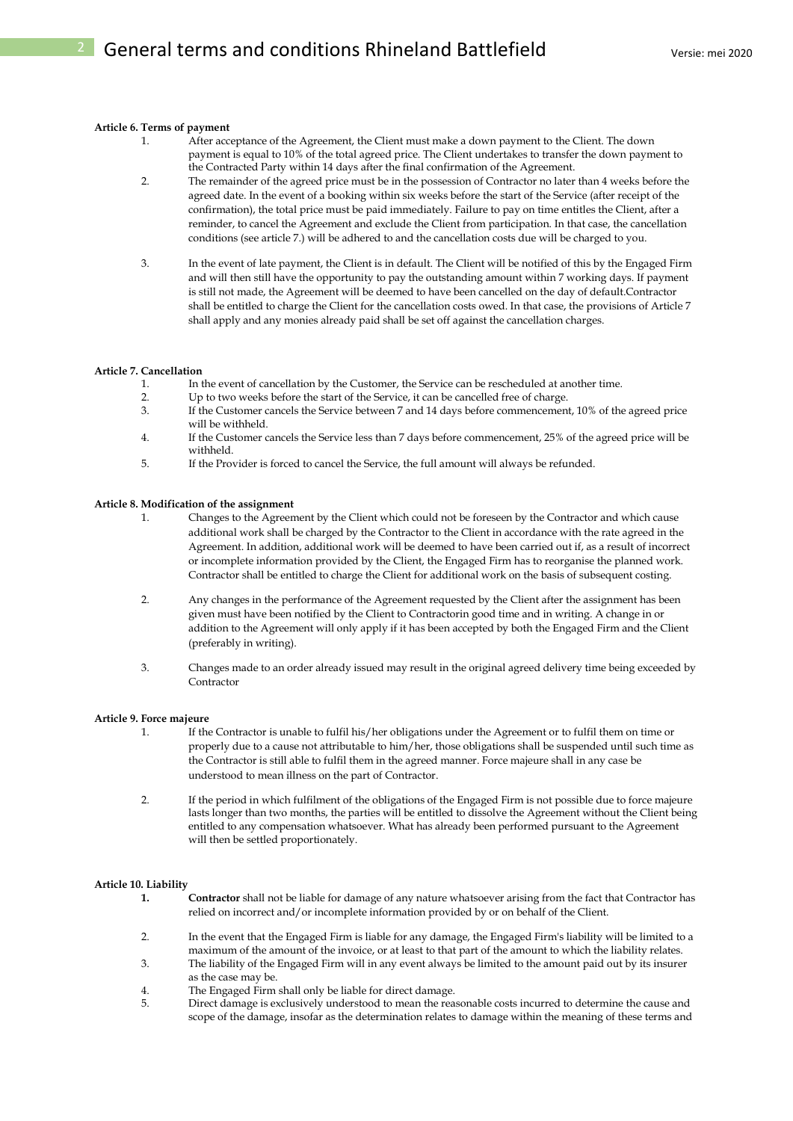## **Article 6. Terms of payment**

- 1. After acceptance of the Agreement, the Client must make a down payment to the Client. The down payment is equal to 10% of the total agreed price. The Client undertakes to transfer the down payment to the Contracted Party within 14 days after the final confirmation of the Agreement.
- 2. The remainder of the agreed price must be in the possession of Contractor no later than 4 weeks before the agreed date. In the event of a booking within six weeks before the start of the Service (after receipt of the confirmation), the total price must be paid immediately. Failure to pay on time entitles the Client, after a reminder, to cancel the Agreement and exclude the Client from participation. In that case, the cancellation conditions (see article 7.) will be adhered to and the cancellation costs due will be charged to you.
- 3. In the event of late payment, the Client is in default. The Client will be notified of this by the Engaged Firm and will then still have the opportunity to pay the outstanding amount within 7 working days. If payment is still not made, the Agreement will be deemed to have been cancelled on the day of default.Contractor shall be entitled to charge the Client for the cancellation costs owed. In that case, the provisions of Article 7 shall apply and any monies already paid shall be set off against the cancellation charges.

# **Article 7. Cancellation**

- 1. In the event of cancellation by the Customer, the Service can be rescheduled at another time.
- 2. Up to two weeks before the start of the Service, it can be cancelled free of charge.
- 3. If the Customer cancels the Service between 7 and 14 days before commencement, 10% of the agreed price will be withheld.
- 4. If the Customer cancels the Service less than 7 days before commencement, 25% of the agreed price will be withheld.
- 5. If the Provider is forced to cancel the Service, the full amount will always be refunded.

#### **Article 8. Modification of the assignment**

- 1. Changes to the Agreement by the Client which could not be foreseen by the Contractor and which cause additional work shall be charged by the Contractor to the Client in accordance with the rate agreed in the Agreement. In addition, additional work will be deemed to have been carried out if, as a result of incorrect or incomplete information provided by the Client, the Engaged Firm has to reorganise the planned work. Contractor shall be entitled to charge the Client for additional work on the basis of subsequent costing.
- 2. Any changes in the performance of the Agreement requested by the Client after the assignment has been given must have been notified by the Client to Contractorin good time and in writing. A change in or addition to the Agreement will only apply if it has been accepted by both the Engaged Firm and the Client (preferably in writing).
- 3. Changes made to an order already issued may result in the original agreed delivery time being exceeded by Contractor

#### **Article 9. Force majeure**

- 1. If the Contractor is unable to fulfil his/her obligations under the Agreement or to fulfil them on time or properly due to a cause not attributable to him/her, those obligations shall be suspended until such time as the Contractor is still able to fulfil them in the agreed manner. Force majeure shall in any case be understood to mean illness on the part of Contractor.
- 2. If the period in which fulfilment of the obligations of the Engaged Firm is not possible due to force majeure lasts longer than two months, the parties will be entitled to dissolve the Agreement without the Client being entitled to any compensation whatsoever. What has already been performed pursuant to the Agreement will then be settled proportionately.

#### **Article 10. Liability**

- **1. Contractor** shall not be liable for damage of any nature whatsoever arising from the fact that Contractor has relied on incorrect and/or incomplete information provided by or on behalf of the Client.
- 2. In the event that the Engaged Firm is liable for any damage, the Engaged Firm's liability will be limited to a maximum of the amount of the invoice, or at least to that part of the amount to which the liability relates.
- 3. The liability of the Engaged Firm will in any event always be limited to the amount paid out by its insurer as the case may be.
- 4. The Engaged Firm shall only be liable for direct damage.
- 5. Direct damage is exclusively understood to mean the reasonable costs incurred to determine the cause and scope of the damage, insofar as the determination relates to damage within the meaning of these terms and